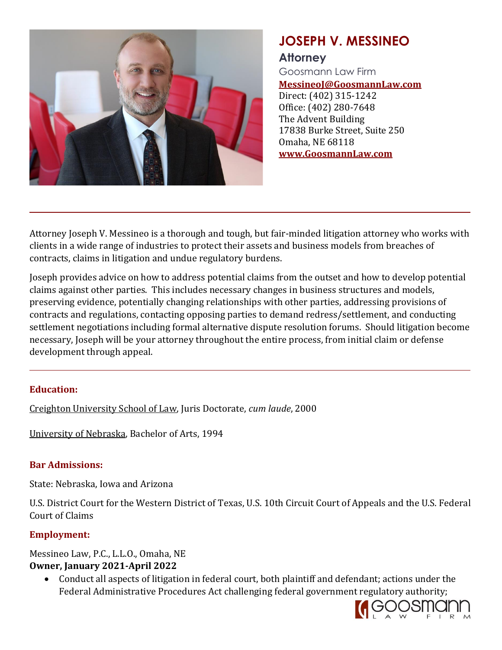

# **JOSEPH V. MESSINEO**

## **Attorney**

Goosmann Law Firm **MessineoJ@GoosmannLaw.com** Direct: (402) 315-1242

Office: (402) 280-7648 The Advent Building 17838 Burke Street, Suite 250 Omaha, NE 68118 **www.GoosmannLaw.com**

Attorney Joseph V. Messineo is a thorough and tough, but fair-minded litigation attorney who works with clients in a wide range of industries to protect their assets and business models from breaches of contracts, claims in litigation and undue regulatory burdens.

Joseph provides advice on how to address potential claims from the outset and how to develop potential claims against other parties. This includes necessary changes in business structures and models, preserving evidence, potentially changing relationships with other parties, addressing provisions of contracts and regulations, contacting opposing parties to demand redress/settlement, and conducting settlement negotiations including formal alternative dispute resolution forums. Should litigation become necessary, Joseph will be your attorney throughout the entire process, from initial claim or defense development through appeal.

#### **Education:**

Creighton University School of Law, Juris Doctorate, *cum laude*, 2000

University of Nebraska, Bachelor of Arts, 1994

#### **Bar Admissions:**

State: Nebraska, Iowa and Arizona

U.S. District Court for the Western District of Texas, U.S. 10th Circuit Court of Appeals and the U.S. Federal Court of Claims

## **Employment:**

Messineo Law, P.C., L.L.O., Omaha, NE **Owner, January 2021-April 2022**

• Conduct all aspects of litigation in federal court, both plaintiff and defendant; actions under the Federal Administrative Procedures Act challenging federal government regulatory authority;

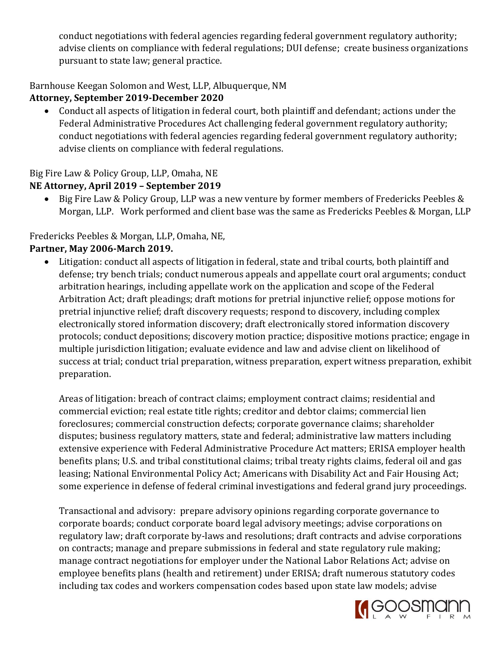conduct negotiations with federal agencies regarding federal government regulatory authority; advise clients on compliance with federal regulations; DUI defense; create business organizations pursuant to state law; general practice.

#### Barnhouse Keegan Solomon and West, LLP, Albuquerque, NM

## **Attorney, September 2019-December 2020**

• Conduct all aspects of litigation in federal court, both plaintiff and defendant; actions under the Federal Administrative Procedures Act challenging federal government regulatory authority; conduct negotiations with federal agencies regarding federal government regulatory authority; advise clients on compliance with federal regulations.

## Big Fire Law & Policy Group, LLP, Omaha, NE

## **NE Attorney, April 2019 – September 2019**

• Big Fire Law & Policy Group, LLP was a new venture by former members of Fredericks Peebles & Morgan, LLP. Work performed and client base was the same as Fredericks Peebles & Morgan, LLP

## Fredericks Peebles & Morgan, LLP, Omaha, NE,

## **Partner, May 2006-March 2019.**

Litigation: conduct all aspects of litigation in federal, state and tribal courts, both plaintiff and defense; try bench trials; conduct numerous appeals and appellate court oral arguments; conduct arbitration hearings, including appellate work on the application and scope of the Federal Arbitration Act; draft pleadings; draft motions for pretrial injunctive relief; oppose motions for pretrial injunctive relief; draft discovery requests; respond to discovery, including complex electronically stored information discovery; draft electronically stored information discovery protocols; conduct depositions; discovery motion practice; dispositive motions practice; engage in multiple jurisdiction litigation; evaluate evidence and law and advise client on likelihood of success at trial; conduct trial preparation, witness preparation, expert witness preparation, exhibit preparation.

Areas of litigation: breach of contract claims; employment contract claims; residential and commercial eviction; real estate title rights; creditor and debtor claims; commercial lien foreclosures; commercial construction defects; corporate governance claims; shareholder disputes; business regulatory matters, state and federal; administrative law matters including extensive experience with Federal Administrative Procedure Act matters; ERISA employer health benefits plans; U.S. and tribal constitutional claims; tribal treaty rights claims, federal oil and gas leasing; National Environmental Policy Act; Americans with Disability Act and Fair Housing Act; some experience in defense of federal criminal investigations and federal grand jury proceedings.

Transactional and advisory: prepare advisory opinions regarding corporate governance to corporate boards; conduct corporate board legal advisory meetings; advise corporations on regulatory law; draft corporate by-laws and resolutions; draft contracts and advise corporations on contracts; manage and prepare submissions in federal and state regulatory rule making; manage contract negotiations for employer under the National Labor Relations Act; advise on employee benefits plans (health and retirement) under ERISA; draft numerous statutory codes including tax codes and workers compensation codes based upon state law models; advise